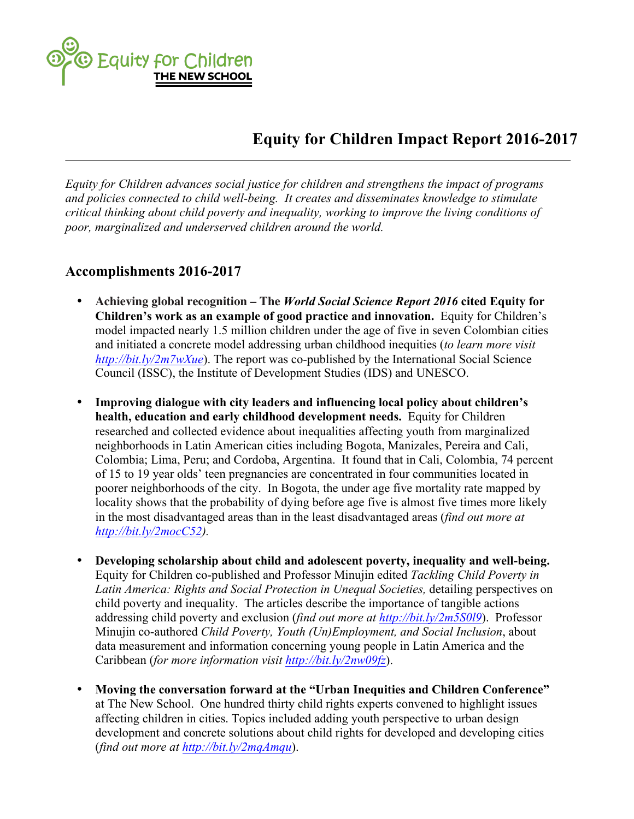Equity for Children

## **Equity for Children Impact Report 2016-2017**

*Equity for Children advances social justice for children and strengthens the impact of programs and policies connected to child well-being. It creates and disseminates knowledge to stimulate critical thinking about child poverty and inequality, working to improve the living conditions of poor, marginalized and underserved children around the world.*

## **Accomplishments 2016-2017**

- **Achieving global recognition – The** *World Social Science Report 2016* **cited Equity for Children's work as an example of good practice and innovation.** Equity for Children's model impacted nearly 1.5 million children under the age of five in seven Colombian cities and initiated a concrete model addressing urban childhood inequities (*to learn more visit http://bit.ly/2m7wXue*). The report was co-published by the International Social Science Council (ISSC), the Institute of Development Studies (IDS) and UNESCO.
- **Improving dialogue with city leaders and influencing local policy about children's health, education and early childhood development needs.** Equity for Children researched and collected evidence about inequalities affecting youth from marginalized neighborhoods in Latin American cities including Bogota, Manizales, Pereira and Cali, Colombia; Lima, Peru; and Cordoba, Argentina. It found that in Cali, Colombia, 74 percent of 15 to 19 year olds' teen pregnancies are concentrated in four communities located in poorer neighborhoods of the city. In Bogota, the under age five mortality rate mapped by locality shows that the probability of dying before age five is almost five times more likely in the most disadvantaged areas than in the least disadvantaged areas (*find out more at http://bit.ly/2mocC52).*
- **Developing scholarship about child and adolescent poverty, inequality and well-being.** Equity for Children co-published and Professor Minujin edited *Tackling Child Poverty in Latin America: Rights and Social Protection in Unequal Societies,* detailing perspectives on child poverty and inequality. The articles describe the importance of tangible actions addressing child poverty and exclusion (*find out more at http://bit.ly/2m5S0l9*). Professor Minujin co-authored *Child Poverty, Youth (Un)Employment, and Social Inclusion*, about data measurement and information concerning young people in Latin America and the Caribbean (*for more information visit http://bit.ly/2nw09fz*).
- **Moving the conversation forward at the "Urban Inequities and Children Conference"** at The New School. One hundred thirty child rights experts convened to highlight issues affecting children in cities. Topics included adding youth perspective to urban design development and concrete solutions about child rights for developed and developing cities (*find out more at http://bit.ly/2mqAmqu*).